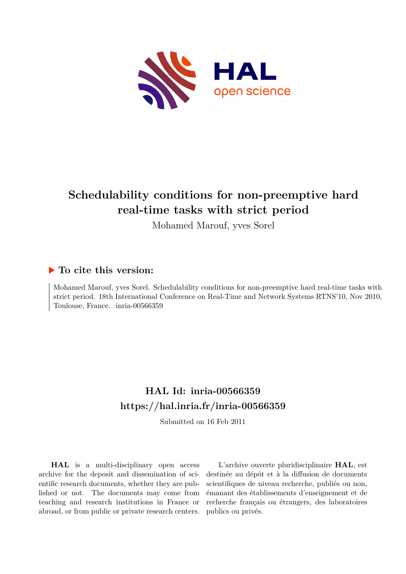

# **Schedulability conditions for non-preemptive hard real-time tasks with strict period**

Mohamed Marouf, yves Sorel

## **To cite this version:**

Mohamed Marouf, yves Sorel. Schedulability conditions for non-preemptive hard real-time tasks with strict period. 18th International Conference on Real-Time and Network Systems RTNS'10, Nov 2010, Toulouse, France. inria-00566359

## **HAL Id: inria-00566359 <https://hal.inria.fr/inria-00566359>**

Submitted on 16 Feb 2011

**HAL** is a multi-disciplinary open access archive for the deposit and dissemination of scientific research documents, whether they are published or not. The documents may come from teaching and research institutions in France or abroad, or from public or private research centers.

L'archive ouverte pluridisciplinaire **HAL**, est destinée au dépôt et à la diffusion de documents scientifiques de niveau recherche, publiés ou non, émanant des établissements d'enseignement et de recherche français ou étrangers, des laboratoires publics ou privés.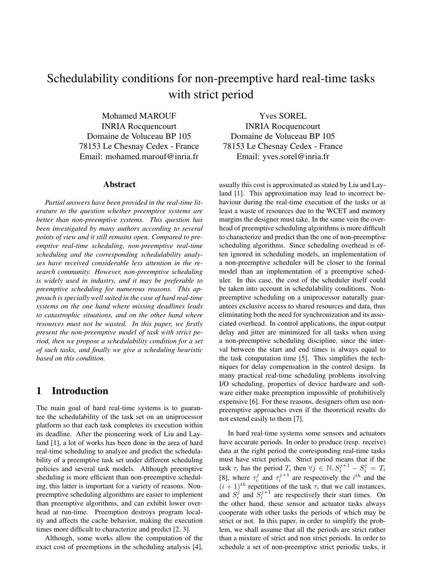## Schedulability conditions for non-preemptive hard real-time tasks with strict period

Mohamed MAROUF INRIA Rocquencourt Domaine de Voluceau BP 105 78153 Le Chesnay Cedex - France Email: mohamed.marouf@inria.fr

#### Abstract

*Partial answers have been provided in the real-time literature to the question whether preemptive systems are better than non-preemptive systems. This question has been investigated by many authors according to several points of view and it still remains open. Compared to preemptive real-time scheduling, non-preemptive real-time scheduling and the corresponding schedulability analyses have received considerable less attention in the research community. However, non-preemptive scheduling is widely used in industry, and it may be preferable to preemptive scheduling for numerous reasons. This approach is specially well suited in the case of hard real-time systems on the one hand where missing deadlines leads to catastrophic situations, and on the other hand where resources must not be wasted. In this paper, we firstly present the non-preemptive model of task with strict period, then we propose a schedulability condition for a set of such tasks, and finally we give a scheduling heuristic based on this condition.*

## 1 Introduction

The main goal of hard real-time systems is to guarantee the schedulability of the task set on an uniprocessor platform so that each task completes its execution within its deadline. After the pioneering work of Liu and Layland [1], a lot of works has been done in the area of hard real-time scheduling to analyze and predict the schedulability of a preemptive task set under different scheduling policies and several task models. Although preemptive sheduling is more efficient than non-preemptive scheduling, this latter is important for a variety of reasons. Nonpreemptive scheduling algorithms are easier to implement than preemptive algorithms, and can exhibit lower overhead at run-time. Preemption destroys program locality and affects the cache behavior, making the execution times more difficult to characterize and predict [2, 3].

Although, some works allow the computation of the exact cost of preemptions in the scheduling analysis [4],

Yves SOREL INRIA Rocquencourt Domaine de Voluceau BP 105 78153 Le Chesnay Cedex - France Email: yves.sorel@inria.fr

usually this cost is approximated as stated by Liu and Layland [1]. This approximation may lead to incorrect behaviour during the real-time execution of the tasks or at least a waste of resources due to the WCET and memory margins the designer must take. In the same vein the overhead of preemptive scheduling algorithms is more difficult to characterize and predict than the one of non-preemptive scheduling algorithms. Since scheduling overhead is often ignored in scheduling models, an implementation of a non-preemptive scheduler will be closer to the formal model than an implementation of a preemptive scheduler. In this case, the cost of the scheduler itself could be taken into account in schedulability conditions. Nonpreemptive scheduling on a uniprocessor naturally guarantees exclusive access to shared resources and data, thus eliminating both the need for synchronization and its associated overhead. In control applications, the input-output delay and jitter are minimized for all tasks when using a non-preemptive scheduling discipline, since the interval between the start and end times is always equal to the task computation time [5]. This simplifies the techniques for delay compensation in the control design. In many practical real-time scheduling problems involving I/O scheduling, properties of device hardware and software either make preemption impossible of prohibitively expensive [6]. For these reasons, designers often use nonpreemptive approaches even if the theoretical results do not extend easily to them [7].

In hard real-time systems some sensors and actuators have accurate periods. In order to produce (resp. receive) data at the right period the corresponding real-time tasks must have strict periods. Strict period means that if the task  $\tau_i$  has the period  $T_i$  then  $\forall j \in \mathbb{N}, S_i^{j+1} - S_i^j = T_i$ [8], where  $\tau_i^j$  and  $\tau_i^{j+1}$  are respectively the  $i^{th}$  and the  $(i + 1)<sup>th</sup>$  repetitions of the task  $\tau_i$  that we call instances, and  $S_i^j$  and  $S_i^{j+1}$  are respectively their start times. On the other hand, these sensor and actuator tasks always cooperate with other tasks the periods of which may be strict or not. In this paper, in order to simplify the problem, we shall assume that all the periods are strict rather than a mixture of strict and non strict periods. In order to schedule a set of non-preemptive strict periodic tasks, it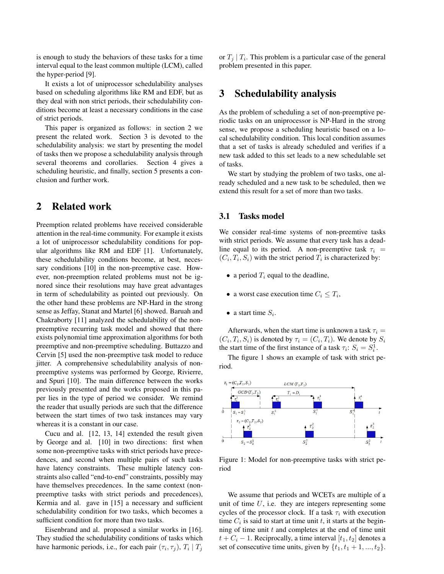is enough to study the behaviors of these tasks for a time interval equal to the least common multiple (LCM), called the hyper-period [9].

It exists a lot of uniprocessor schedulability analyses based on scheduling algorithms like RM and EDF, but as they deal with non strict periods, their schedulability conditions become at least a necessary conditions in the case of strict periods.

This paper is organized as follows: in section 2 we present the related work. Section 3 is devoted to the schedulability analysis: we start by presenting the model of tasks then we propose a schedulability analysis through several theorems and corollaries. Section 4 gives a scheduling heuristic, and finally, section 5 presents a conclusion and further work.

## 2 Related work

Preemption related problems have received considerable attention in the real-time community. For example it exists a lot of uniprocessor schedulability conditions for popular algorithms like RM and EDF [1]. Unfortunately, these schedulability conditions become, at best, necessary conditions [10] in the non-preemptive case. However, non-preemption related problems must not be ignored since their resolutions may have great advantages in term of schedulability as pointed out previously. On the other hand these problems are NP-Hard in the strong sense as Jeffay, Stanat and Martel [6] showed. Baruah and Chakraborty [11] analyzed the schedulability of the nonpreemptive recurring task model and showed that there exists polynomial time approximation algorithms for both preemptive and non-preemptive scheduling. Buttazzo and Cervin [5] used the non-preemptive task model to reduce jitter. A comprehensive schedulability analysis of nonpreemptive systems was performed by George, Rivierre, and Spuri [10]. The main difference between the works previously presented and the works proposed in this paper lies in the type of period we consider. We remind the reader that usually periods are such that the difference between the start times of two task instances may vary whereas it is a constant in our case.

Cucu and al. [12, 13, 14] extended the result given by George and al. [10] in two directions: first when some non-preemptive tasks with strict periods have precedences, and second when multiple pairs of such tasks have latency constraints. These multiple latency constraints also called "end-to-end" constraints, possibly may have themselves precedences. In the same context (nonpreemptive tasks with strict periods and precedences), Kermia and al. gave in [15] a necessary and sufficient schedulability condition for two tasks, which becomes a sufficient condition for more than two tasks.

Eisenbrand and al. proposed a similar works in [16]. They studied the schedulability conditions of tasks which have harmonic periods, i.e., for each pair  $(\tau_i, \tau_j)$ ,  $T_i \mid T_j$ 

or  $T_j | T_i$ . This problem is a particular case of the general problem presented in this paper.

## 3 Schedulability analysis

As the problem of scheduling a set of non-preemptive periodic tasks on an uniprocessor is NP-Hard in the strong sense, we propose a scheduling heuristic based on a local schedulability condition. This local condition assumes that a set of tasks is already scheduled and verifies if a new task added to this set leads to a new schedulable set of tasks.

We start by studying the problem of two tasks, one already scheduled and a new task to be scheduled, then we extend this result for a set of more than two tasks.

#### 3.1 Tasks model

We consider real-time systems of non-preemtive tasks with strict periods. We assume that every task has a deadline equal to its period. A non-preemptive task  $\tau_i$  =  $(C_i, T_i, S_i)$  with the strict period  $T_i$  is characterized by:

- a period  $T_i$  equal to the deadline,
- a worst case execution time  $C_i \leq T_i$ ,
- a start time  $S_i$ .

Afterwards, when the start time is unknown a task  $\tau_i =$  $(C_i, T_i, S_i)$  is denoted by  $\tau_i = (C_i, T_i)$ . We denote by  $S_i$ the start time of the first instance of a task  $\tau_i$ :  $S_i = S_i^1$ .

The figure 1 shows an example of task with strict period.



Figure 1: Model for non-preemptive tasks with strict period

We assume that periods and WCETs are multiple of a unit of time  $U$ , i.e. they are integers representing some cycles of the processor clock. If a task  $\tau_i$  with execution time  $C_i$  is said to start at time unit t, it starts at the beginning of time unit  $t$  and completes at the end of time unit  $t + C_i - 1$ . Reciprocally, a time interval  $[t_1, t_2]$  denotes a set of consecutive time units, given by  $\{t_1, t_1 + 1, ..., t_2\}$ .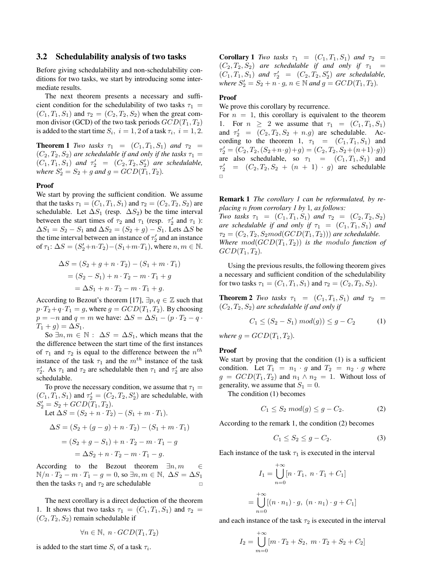#### 3.2 Schedulability analysis of two tasks

Before giving schedulability and non-schedulability conditions for two tasks, we start by introducing some intermediate results.

The next theorem presents a necessary and sufficient condition for the schedulability of two tasks  $\tau_1$  =  $(C_1, T_1, S_1)$  and  $\tau_2 = (C_2, T_2, S_2)$  when the great common divisor (GCD) of the two task periods  $GCD(T_1, T_2)$ is added to the start time  $S_i$ ,  $i = 1, 2$  of a task  $\tau_i$ ,  $i = 1, 2$ .

**Theorem 1** *Two tasks*  $\tau_1 = (C_1, T_1, S_1)$  *and*  $\tau_2 =$  $(C_2, T_2, S_2)$  *are schedulable if and only if the tasks*  $\tau_1 =$  $(C_1, T_1, S_1)$  *and*  $\tau'_2 = (C_2, T_2, S'_2)$  *are schedulable, where*  $S'_2 = S_2 + g$  *and*  $g = GCD(\bar{T}_1, \bar{T}_2)$ *.* 

#### Proof

We start by proving the sufficient condition. We assume that the tasks  $\tau_1 = (C_1, T_1, S_1)$  and  $\tau_2 = (C_2, T_2, S_2)$  are schedulable. Let  $\Delta S_1$  (resp.  $\Delta S_2$ ) be the time interval between the start times of  $\tau_2$  and  $\tau_1$  (resp.  $\tau'_2$  and  $\tau_1$ ):  $\Delta S_1 = S_2 - S_1$  and  $\Delta S_2 = (S_2 + g) - S_1$ . Lets  $\Delta S$  be the time interval between an instance of  $\tau'_2$  and an instance of  $\tau_1$ :  $\Delta S = (S_2' + n \cdot T_2) - (S_1 + m \cdot T_1)$ , where  $n, m \in \mathbb{N}$ .

$$
\Delta S = (S_2 + g + n \cdot T_2) - (S_1 + m \cdot T_1)
$$
  
= (S\_2 - S\_1) + n \cdot T\_2 - m \cdot T\_1 + g  
= \Delta S\_1 + n \cdot T\_2 - m \cdot T\_1 + g.

According to Bezout's theorem [17],  $\exists p, q \in \mathbb{Z}$  such that  $p \cdot T_2 + q \cdot T_1 = g$ , where  $g = GCD(T_1, T_2)$ . By choosing  $p = -n$  and  $q = m$  we have:  $\Delta S = \Delta S_1 - (p \cdot T_2 - q \cdot )$  $T_1 + g$ ) =  $\Delta S_1$ .

So  $\exists n, m \in \mathbb{N}: \Delta S = \Delta S_1$ , which means that the the difference between the start time of the first instances of  $\tau_1$  and  $\tau_2$  is equal to the difference between the  $n^{th}$ instance of the task  $\tau_1$  and the  $m^{th}$  instance of the task  $\tau_2'$ . As  $\tau_1$  and  $\tau_2$  are schedulable then  $\tau_1$  and  $\tau_2'$  are also schedulable.

To prove the necessary condition, we assume that  $\tau_1 =$  $(C_1, T_1, S_1)$  and  $\tau_2' = (C_2, T_2, S_2')$  are schedulable, with  $S'_{2} = S_{2} + GCD(T_{1}, T_{2}).$ Let  $\Delta S = (S_2 + n \cdot T_2) - (S_1 + m \cdot T_1)$ .

$$
\Delta S = (S_2 + (g - g) + n \cdot T_2) - (S_1 + m \cdot T_1).
$$
  
\n
$$
\Delta S = (S_2 + (g - g) + n \cdot T_2) - (S_1 + m \cdot T_1)
$$
  
\n
$$
= (S_2 + g - S_1) + n \cdot T_2 - m \cdot T_1 - g
$$
  
\n
$$
= \Delta S_2 + n \cdot T_2 - m \cdot T_1 - g.
$$

According to the Bezout theorem  $\exists n,m \in \mathbb{R}$  $N/n \cdot T_2 - m \cdot T_1 - g = 0$ , so  $\exists n, m \in \mathbb{N}, \Delta S = \Delta S_1$ then the tasks  $\tau_1$  and  $\tau_2$  are schedulable

The next corollary is a direct deduction of the theorem 1. It shows that two tasks  $\tau_1 = (C_1, T_1, S_1)$  and  $\tau_2 =$  $(C_2, T_2, S_2)$  remain schedulable if

$$
\forall n \in \mathbb{N}, \; n \cdot GCD(T_1, T_2)
$$

is added to the start time  $S_i$  of a task  $\tau_i$ .

**Corollary 1** *Two tasks*  $\tau_1 = (C_1, T_1, S_1)$  *and*  $\tau_2 =$  $(C_2, T_2, S_2)$  *are schedulable if and only if*  $\tau_1$  =  $(C_1, T_1, S_1)$  *and*  $\tau'_2 = (C_2, T_2, S'_2)$  *are schedulable, where*  $S'_2 = S_2 + n \cdot g$ ,  $n \in \mathbb{N}$  *and*  $g = GCD(T_1, T_2)$ *.* 

#### Proof

We prove this corollary by recurrence.

For  $n = 1$ , this corollary is equivalent to the theorem 1. For  $n \geq 2$  we assume that  $\tau_1 = (C_1, T_1, S_1)$ and  $\tau_2' = (C_2, T_2, S_2 + n.g)$  are schedulable. According to the theorem 1,  $\tau_1 = (C_1, T_1, S_1)$  and  $\tau_2' = (C_2, T_2, (S_2+n \cdot g) + g) = (C_2, T_2, S_2 + (n+1) \cdot g))$ are also schedulable, so  $\tau_1 = (C_1, T_1, S_1)$  and  $\tau'_{2} = (C_{2}, T_{2}, S_{2} + (n + 1) \cdot g)$  are schedulable ⊡

Remark 1 *The corollary 1 can be reformulated, by replacing* n *from corrolary 1 by* 1*, as follows:*

*Two tasks*  $\tau_1 = (C_1, T_1, S_1)$  *and*  $\tau_2 = (C_2, T_2, S_2)$ *are schedulable if and only if*  $\tau_1 = (C_1, T_1, S_1)$  *and*  $\tau_2 = (C_2, T_2, S_2 \mod (GCD(T_1, T_2)))$  are schedulable. *Where*  $mod(GCD(T_1, T_2))$  *is the modulo function of*  $GCD(T_1, T_2)$ .

Using the previous results, the following theorem gives a necessary and sufficient condition of the schedulability for two tasks  $\tau_1 = (C_1, T_1, S_1)$  and  $\tau_2 = (C_2, T_2, S_2)$ .

**Theorem 2** *Two tasks*  $\tau_1 = (C_1, T_1, S_1)$  *and*  $\tau_2 =$  $(C_2, T_2, S_2)$  *are schedulable if and only if* 

$$
C_1 \le (S_2 - S_1) \ mod(g)) \le g - C_2 \tag{1}
$$

*where*  $q = GCD(T_1, T_2)$ *.* 

#### Proof

We start by proving that the condition  $(1)$  is a sufficient condition. Let  $T_1 = n_1 \cdot g$  and  $T_2 = n_2 \cdot g$  where  $g = GCD(T_1, T_2)$  and  $n_1 \wedge n_2 = 1$ . Without loss of generality, we assume that  $S_1 = 0$ .

The condition (1) becomes

$$
C_1 \le S_2 \ mod(g) \le g - C_2. \tag{2}
$$

According to the remark 1, the condition (2) becomes

$$
C_1 \le S_2 \le g - C_2. \tag{3}
$$

Each instance of the task  $\tau_1$  is executed in the interval

$$
I_1 = \bigcup_{n=0}^{+\infty} [n \cdot T_1, n \cdot T_1 + C_1]
$$

$$
= \bigcup_{n=0}^{+\infty} [(n \cdot n_1) \cdot g, (n \cdot n_1) \cdot g + C_1]
$$

and each instance of the task  $\tau_2$  is executed in the interval

$$
I_2 = \bigcup_{m=0}^{+\infty} [m \cdot T_2 + S_2, \ m \cdot T_2 + S_2 + C_2]
$$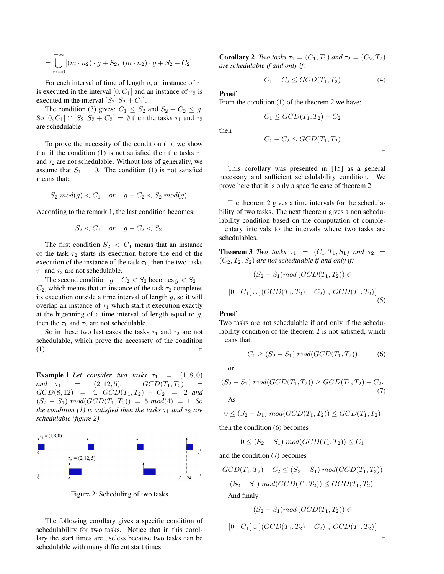$$
= \bigcup_{m=0}^{+\infty} [(m \cdot n_2) \cdot g + S_2, (m \cdot n_2) \cdot g + S_2 + C_2].
$$

For each interval of time of length g, an instance of  $\tau_1$ is executed in the interval [0,  $C_1$ ] and an instance of  $\tau_2$  is executed in the interval  $[S_2, S_2 + C_2]$ .

The condition (3) gives:  $C_1 \leq S_2$  and  $S_2 + C_2 \leq g$ . So  $[0, C_1] \cap [S_2, S_2 + C_2] = \emptyset$  then the tasks  $\tau_1$  and  $\tau_2$ are schedulable.

To prove the necessity of the condition (1), we show that if the condition (1) is not satisfied then the tasks  $\tau_1$ and  $\tau_2$  are not schedulable. Without loss of generality, we assume that  $S_1 = 0$ . The condition (1) is not satisfied means that:

$$
S_2 \mod(g) < C_1 \quad \text{or} \quad g - C_2 < S_2 \mod(g).
$$

According to the remark 1, the last condition becomes:

$$
S_2 < C_1 \quad \text{or} \quad g - C_2 < S_2.
$$

The first condition  $S_2 \, < \, C_1$  means that an instance of the task  $\tau_2$  starts its execution before the end of the execution of the instance of the task  $\tau_1$ , then the two tasks  $\tau_1$  and  $\tau_2$  are not schedulable.

The second condition  $g - C_2 < S_2$  becomes  $g < S_2 +$  $C_2$ , which means that an instance of the task  $\tau_2$  completes its execution outside a time interval of length  $g$ , so it will overlap an instance of  $\tau_1$  which start it execution exactly at the bigenning of a time interval of length equal to  $g$ , then the  $\tau_1$  and  $\tau_2$  are not schedulable.

So in these two last cases the tasks  $\tau_1$  and  $\tau_2$  are not schedulable, which prove the necessety of the condition  $(1)$   $\Box$ 

**Example 1** Let consider two tasks  $\tau_1 = (1, 8, 0)$ *and*  $\tau_1$  = (2, 12, 5)*.*  $GCD(T_1, T_2)$  $GCD(8, 12) = 4$ ,  $GCD(T_1, T_2) - C_2 = 2$  and  $(S_2 - S_1) \mod(GCD(T_1, T_2)) = 5 \mod(4) = 1$ . So *the condition (1) is satisfied then the tasks*  $\tau_1$  *and*  $\tau_2$  *are schedulable (figure 2).*



Figure 2: Scheduling of two tasks

The following corollary gives a specific condition of schedulability for two tasks. Notice that in this corollary the start times are useless because two tasks can be schedulable with many different start times.

**Corollary 2** *Two tasks*  $\tau_1 = (C_1, T_1)$  *and*  $\tau_2 = (C_2, T_2)$ *are schedulable if and only if:*

 $C_1 \leq GCD(T_1, T_2) - C_2$ 

$$
C_1 + C_2 \le GCD(T_1, T_2) \tag{4}
$$

#### Proof

From the condition (1) of the theorem 2 we have:

then

$$
C_1 + C_2 \le GCD(T_1, T_2)
$$

 $\Box$ 

This corollary was presented in [15] as a general necessary and sufficient schedulability condition. We prove here that it is only a specific case of theorem 2.

The theorem 2 gives a time intervals for the schedulability of two tasks. The next theorem gives a non schedulability condition based on the computation of complementary intervals to the intervals where two tasks are schedulables.

**Theorem 3** *Two tasks*  $\tau_1 = (C_1, T_1, S_1)$  *and*  $\tau_2 =$  $(C_2, T_2, S_2)$  *are not schedulable if and only if:* 

$$
(S_2 - S_1) \mod (GCD(T_1, T_2)) \in
$$
  

$$
G \mod (GCD(T_1, T_2) \mod (GCD(T_1, T_2))
$$

$$
[0, C_1[ \cup ] (GCD(T_1, T_2) - C_2), GCD(T_1, T_2)] \tag{5}
$$

#### Proof

Two tasks are not schedulable if and only if the schedulability condition of the theorem 2 is not satisfied, which means that:

$$
C_1 \ge (S_2 - S_1) \ mod(GCD(T_1, T_2)) \tag{6}
$$

or

$$
(S_2 - S_1) \ mod(GCD(T_1, T_2)) \ge GCD(T_1, T_2) - C_2.
$$
\nAs

$$
0 \le (S_2 - S_1) \ mod(GCD(T_1, T_2)) \le GCD(T_1, T_2)
$$

then the condition (6) becomes

$$
0 \le (S_2 - S_1) \ mod(GCD(T_1, T_2)) \le C_1
$$

and the condition (7) becomes

$$
GCD(T_1, T_2) - C_2 \le (S_2 - S_1) \mod(GCD(T_1, T_2))
$$
  

$$
(S_2 - S_1) \mod(GCD(T_1, T_2)) \le GCD(T_1, T_2).
$$
  
And finally

$$
\mathbf{m} \mathbf{u} \mathbf{m} \mathbf{a} \mathbf{y}
$$

$$
(S_2 - S_1) mod (GCD(T_1, T_2)) \in
$$

$$
[0, C_1[ \cup ] (GCD(T_1, T_2) - C_2), GCD(T_1, T_2)[
$$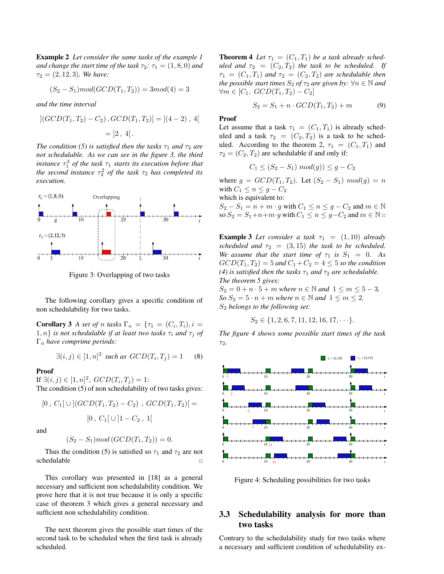Example 2 *Let consider the same tasks of the example 1 and change the start time of the task*  $\tau_2$ *:*  $\tau_1 = (1, 8, 0)$  *and*  $\tau_2 = (2, 12, 3)$ *. We have:* 

$$
(S_2 - S_1) mod(GCD(T_1, T_2)) = 3 mod(4) = 3
$$

*and the time interval*

$$
|(GCD(T_1, T_2) - C_2), GCD(T_1, T_2)| = |(4 - 2), 4|
$$
  
= |2, 4|.

*The condition (5) is satisfied then the tasks*  $\tau_1$  *and*  $\tau_2$  *are not schedulable. As we can see in the figure 3, the third instance*  $\tau_1^3$  *of the task*  $\tau_1$  *starts its execution before that the second instance*  $\tau_2^2$  *of the task*  $\tau_2$  *has completed its execution.*



Figure 3: Overlapping of two tasks

The following corollary gives a specific condition of non schedulability for two tasks.

**Corollary 3** *A set of n tasks*  $\Gamma_n = {\tau_1 = (C_i, T_i), i =}$  $1, n$ } *is not schedulable if at least two tasks*  $\tau_i$  *and*  $\tau_j$  *of* Γ<sup>n</sup> *have comprime periods:*

$$
\exists (i,j) \in [1,n]^2 \text{ such as } GCD(T_i, T_j) = 1 \qquad (8)
$$

#### Proof

If  $\exists (i, j) \in [1, n]^2$ ,  $GCD(T_i, T_j) = 1$ :

The condition (5) of non schedulability of two tasks gives:

$$
[0, C_1[\cup](GCD(T_1, T_2) - C_2), GCD(T_1, T_2)] =
$$

$$
[0, C_1[\cup]1 - C_2, 1]
$$
  
and  

$$
(S_2 - S_1) \text{mod} (GCD(T_1, T_2)) = 0.
$$

Thus the condition (5) is satisfied so  $\tau_1$  and  $\tau_2$  are not schedulable <sup>⊡</sup>

This corollary was presented in [18] as a general necessary and sufficient non schedulability condition. We prove here that it is not true because it is only a specific case of theorem 3 which gives a general necessary and sufficient non schedulability condition.

The next theorem gives the possible start times of the second task to be scheduled when the first task is already scheduled.

**Theorem 4** Let  $\tau_1 = (C_1, T_1)$  be a task already sched*uled and*  $\tau_2 = (C_2, T_2)$  *the task to be scheduled. If*  $\tau_1 = (C_1, T_1)$  *and*  $\tau_2 = (C_2, T_2)$  *are schedulable then the possible start times*  $S_2$  *of*  $\tau_2$  *are given by:*  $\forall n \in \mathbb{N}$  *and*  $\forall m \in [C_1, GCD(T_1, T_2) - C_2]$ 

$$
S_2 = S_1 + n \cdot GCD(T_1, T_2) + m \tag{9}
$$

#### Proof

Let assume that a task  $\tau_1 = (C_1, T_1)$  is already scheduled and a task  $\tau_2 = (C_2, T_2)$  is a task to be scheduled. According to the theorem 2,  $\tau_1 = (C_1, T_1)$  and  $\tau_2 = (C_2, T_2)$  are schedulable if and only if:

$$
C_1 \le (S_2 - S_1) mod(g)) \le g - C_2
$$

where  $g = GCD(T_1, T_2)$ . Let  $(S_2 - S_1) \mod(g) = n$ with  $C_1 \leq n \leq g - C_2$ 

which is equivalent to:

 $S_2 - S_1 = n + m \cdot g$  with  $C_1 \le n \le g - C_2$  and  $m \in \mathbb{N}$ so  $S_2 = S_1 + n + m \cdot g$  with  $C_1 \le n \le g - C_2$  and  $m \in \mathbb{N}$ 

**Example 3** Let consider a task  $\tau_1 = (1, 10)$  already *scheduled and*  $\tau_2 = (3, 15)$  *the task to be scheduled. We assume that the start time of*  $\tau_1$  *is*  $S_1 = 0$ *. As*  $GCD(T_1, T_2) = 5$  and  $C_1 + C_2 = 4 \leq 5$  so the condition *(4) is satisfied then the tasks*  $\tau_1$  *and*  $\tau_2$  *are schedulable. The theorem 5 gives:*

 $S_2 = 0 + n \cdot 5 + m$  *where*  $n \in \mathbb{N}$  *and*  $1 \le m \le 5 - 3$ *. So*  $S_2 = 5 \cdot n + m$  *where*  $n \in \mathbb{N}$  *and*  $1 \le m \le 2$ *.* S<sup>2</sup> *belongs to the following set:*

$$
S_2 \in \{1, 2, 6, 7, 11, 12, 16, 17, \cdots\}.
$$

*The figure 4 shows some possible start times of the task*  $\tau_2$ .



Figure 4: Scheduling possibilities for two tasks

#### 3.3 Schedulability analysis for more than two tasks

Contrary to the schedulability study for two tasks where a necessary and sufficient condition of schedulability ex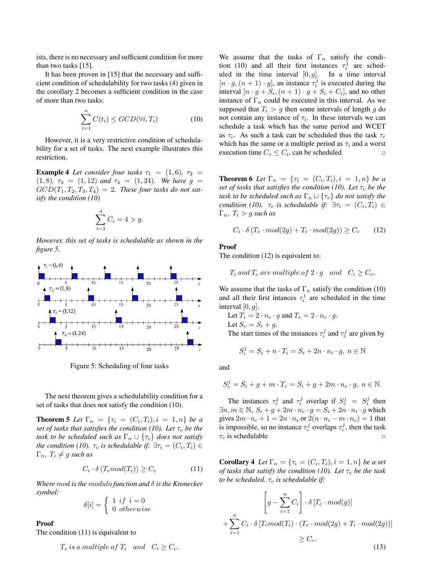ists, there is no necessary and sufficient condition for more than two tasks [15].

It has been proven in [15] that the necessary and sufficient condition of schedulability for two tasks (4) given in the corollary 2 becomes a sufficient condition in the case of more than two tasks:

$$
\sum_{i=1}^{n} C(t_i) \le GCD(\forall i, T_i)
$$
 (10)

However, it is a very restrictive condition of schedulability for a set of tasks. The next example illustrates this restriction.

**Example 4** Let consider four tasks  $\tau_1 = (1, 6)$ ,  $\tau_2 =$ (1, 8),  $\tau_3 = (1, 12)$  *and*  $\tau_4 = (1, 24)$ *. We have*  $g =$  $GCD(T_1, T_2, T_3, T_4) = 2$ . These four tasks do not sat*isfy the condition (10)*

$$
\sum_{i=1}^{4} C_i = 4 > g.
$$

*However, this set of tasks is schedulable as shown in the figure 5.*



Figure 5: Scheduling of four tasks

The next theorem gives a schedulability condition for a set of tasks that does not satisfy the condition (10).

**Theorem 5** Let  $\Gamma_n = \{\tau_i = (C_i, T_i), i = 1, n\}$  be a *set of tasks that satisfies the condition (10). Let*  $\tau_c$  *be the task to be scheduled such as*  $\Gamma_n \cup \{ \tau_c \}$  *does not satisfy the condition (10).*  $\tau_c$  *is schedulable if:*  $\exists \tau_i = (C_i, T_i) \in$  $\Gamma_n$ ,  $T_i \neq g$  *such as* 

$$
C_i \cdot \delta(T_c \text{mod}(T_i)) \ge C_c \tag{11}
$$

*Where* mod *is the* modulo *function and* δ *is the Kronecker symbol:*

$$
\delta[i] = \begin{cases} 1 & \text{if } i = 0 \\ 0 & \text{otherwise} \end{cases}
$$

Proof

The condition (11) is equivalent to

$$
T_c
$$
 is a multiple of  $T_i$  and  $C_i \geq C_c$ .

We assume that the tasks of  $\Gamma_n$  satisfy the condition (10) and all their first instances  $\tau_i^1$  are scheduled in the time interval  $[0, g]$ . In a time interval  $[n \cdot g, (n+1) \cdot g]$ , an instance  $\tau_i^j$  is executed during the interval  $[n \cdot g + S_i, (n+1) \cdot g + S_i + C_i]$ , and no other instance of  $\Gamma_n$  could be executed in this interval. As we supposed that  $T_i > g$  then some intervals of length g do not contain any instance of  $\tau_i$ . In these intervals we can schedule a task which has the same period and WCET as  $\tau_c$ . As such a task can be scheduled thus the task  $\tau_c$ which has the same or a multiple period as  $\tau_i$  and a worst execution time  $C_c \leq C_i$ , can be scheduled □

**Theorem 6** Let  $\Gamma_n = \{ \tau_i = (C_i, T_i), i = 1, n \}$  be a *set of tasks that satisfies the condition (10). Let*  $\tau_c$  *be the task to be scheduled such as*  $\Gamma_n \cup \{\tau_c\}$  *do not satisfy the condition (10).*  $\tau_c$  *is schedulable if:*  $\exists \tau_i = (C_i, T_i) \in$ Γn, T<sup>i</sup> > g *such as*

$$
C_i \cdot \delta(T_c \cdot mod(2g) + T_i \cdot mod(2g)) \ge C_c \tag{12}
$$

Proof

The condition  $(12)$  is equivalent to:

$$
T_i
$$
 and  $T_c$  are multiple of  $2 \cdot g$  and  $C_i \ge C_c$ .

We assume that the tasks of  $\Gamma_n$  satisfy the condition (10) and all their first intances  $\tau_i^1$  are scheduled in the time interval  $[0, g]$ .

Let 
$$
T_i = 2 \cdot n_i \cdot g
$$
 and  $T_c = 2 \cdot n_c \cdot g$ .  
Let  $S_c = S_i + g$ .

The start times of the instances  $\tau_i^j$  and  $\tau_c^j$  are given by

$$
S_i^j = S_i + n \cdot T_i = S_i + 2n \cdot n_i \cdot g, \ n \in \mathbb{N}
$$

and

$$
S_c^j = S_i + g + m \cdot T_c = S_i + g + 2m \cdot n_c \cdot g, \ n \in \mathbb{N}.
$$

The instances  $\tau_c^j$  and  $\tau_i^j$  overlap if  $S_c^j = S_i^j$  then  $\exists n, m \in \mathbb{N}, S_i + g + 2m \cdot n_c \cdot g = S_i + 2n \cdot n_i \cdot g$  which gives  $2m \cdot n_c + 1 = 2n \cdot n_i$  or  $2(n \cdot n_i - m \cdot n_c) = 1$  that is impossible, so no instance  $\tau_c^j$  overlaps  $\tau_i^j$ , then the task  $\tau_c$  is schedulable

**Corollary 4** Let  $\Gamma_n = \{ \tau_i = (C_i, T_i), i = 1, n \}$  be a set *of tasks that satisfy the condition (10). Let*  $\tau_c$  *be the task to be scheduled.*  $\tau_c$  *is schedulable if:* 

$$
\left[g - \sum_{i=1}^{n} C_i\right] \cdot \delta \left[T_c \cdot mod(g)\right]
$$

$$
+ \sum_{i=1}^{n} C_i \cdot \delta \left[T_c mod(T_i) \cdot \left(T_c \cdot mod(2g) + T_i \cdot mod(2g)\right)\right]
$$

$$
\ge C_c.
$$
(13)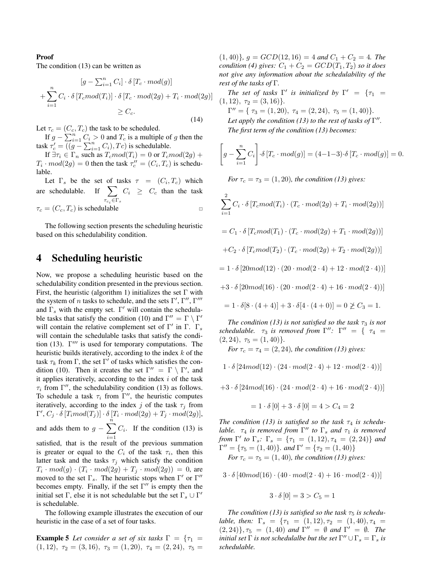#### Proof

The condition (13) can be written as

$$
[g - \sum_{i=1}^{n} C_i] \cdot \delta [T_c \cdot mod(g)]
$$
  
+ 
$$
\sum_{i=1}^{n} C_i \cdot \delta [T_c mod(T_i)] \cdot \delta [T_c \cdot mod(2g) + T_i \cdot mod(2g)]
$$
  

$$
\geq C_c.
$$

(14)

Let  $\tau_c = (C_c, T_c)$  the task to be scheduled.

If  $g - \sum_{i=1}^{n} C_i > 0$  and  $T_c$  is a multiple of g then the task  $\tau'_c = ((g - \sum_{i=1}^n C_i), T_c)$  is schedulable.

If  $\exists \tau_i \in \Gamma_n$  such as  $T_c mod(T_i) = 0$  or  $T_c mod(2g) +$  $T_i \cdot mod(2g) = 0$  then the task  $\tau''_c = (C_i, T_c)$  is schedulable.

Let  $\Gamma_s$  be the set of tasks  $\tau = (C_i, T_c)$  which are schedulable. If  $\sum$  $\tau_{c_i} \in \Gamma_s$  $C_i \geq C_c$  than the task  $\tau_c = (C_c, T_c)$  is schedulable ⊡

The following section presents the scheduling heuristic based on this schedulability condition.

### 4 Scheduling heuristic

Now, we propose a scheduling heuristic based on the schedulability condition presented in the previous section. First, the heuristic (algorithm 1) initializes the set  $\Gamma$  with the system of *n* tasks to schedule, and the sets  $\Gamma', \Gamma'', \Gamma'''$ and  $\Gamma_s$  with the empty set.  $\Gamma'$  will contain the schedulable tasks that satisfy the condition (10) and  $\Gamma'' = \Gamma \setminus \Gamma'$ will contain the relative complement set of  $\Gamma'$  in  $\Gamma$ .  $\Gamma_s$ will contain the schedulable tasks that satisfy the condition (13).  $\Gamma'''$  is used for temporary computations. The heuristic builds iteratively, according to the index  $k$  of the task  $\tau_k$  from  $\Gamma$ , the set  $\Gamma'$  of tasks which satisfies the condition (10). Then it creates the set  $\Gamma'' = \Gamma \setminus \Gamma'$ , and it applies iteratively, according to the index  $i$  of the task  $\tau_i$  from  $\Gamma''$ , the schedulability condition (13) as follows. To schedule a task  $\tau_i$  from  $\Gamma''$ , the heuristic computes iteratively, according to the index j of the task  $\tau_i$  from  $\Gamma', C_j \cdot \delta \left[ T_i mod(T_j) \right] \cdot \delta \left[ T_i \cdot mod(2g) + T_j \cdot mod(2g) \right],$ and adds them to  $g - \sum_{n=1}^{\infty}$  $i=1$  $C_i$ . If the condition (13) is satisfied, that is the result of the previous summation

is greater or equal to the  $C_i$  of the task  $\tau_i$ , then this latter task and the tasks  $\tau_j$  which satisfy the condition  $T_i \cdot mod(g) \cdot (T_i \cdot mod(2g) + T_j \cdot mod(2g)) = 0$ , are moved to the set  $\Gamma_s$ . The heuristic stops when  $\Gamma'$  or  $\Gamma''$ becomes empty. Finally, if the set  $\Gamma''$  is empty then the initial set  $\Gamma$ , else it is not schedulable but the set  $\Gamma_s \cup \Gamma'$ is schedulable.

The following example illustrates the execution of our heuristic in the case of a set of four tasks.

**Example 5** Let consider a set of six tasks 
$$
\Gamma = \{\tau_1 = (1, 12), \tau_2 = (3, 16), \tau_3 = (1, 20), \tau_4 = (2, 24), \tau_5 =
$$

 $(1, 40)$ *},*  $g = GCD(12, 16) = 4$  *and*  $C_1 + C_2 = 4$ *. The condition (4) gives:*  $C_1 + C_2 = GCD(T_1, T_2)$  *so it does not give any information about the schedulability of the rest of the tasks of* Γ*.*

*The set of tasks*  $\Gamma'$  *is initialized by*  $\Gamma' = \{ \tau_1 =$  $(1, 12), \tau_2 = (3, 16)$  $\Gamma'' = \{ \tau_3 = (1, 20), \tau_4 = (2, 24), \tau_5 = (1, 40) \}.$ Let apply the condition (13) to the rest of tasks of  $\Gamma''$ . *The first term of the condition (13) becomes:*

$$
\left[g - \sum_{i=1}^{n} C_i\right] \cdot \delta \left[T_c \cdot mod(g)\right] = (4 - 1 - 3) \cdot \delta \left[T_c \cdot mod(g)\right] = 0.
$$

*For*  $\tau_c = \tau_3 = (1, 20)$ *, the condition (13) gives:* 

$$
\sum_{i=1}^{2} C_i \cdot \delta \left[ T_c mod(T_i) \cdot (T_c \cdot mod(2g) + T_i \cdot mod(2g)) \right]
$$

$$
= C_1 \cdot \delta \left[ T_c mod(T_1) \cdot (T_c \cdot mod(2g) + T_1 \cdot mod(2g)) \right]
$$

$$
+C_2 \cdot \delta \left[ T_c mod(T_2) \cdot (T_c \cdot mod(2g) + T_2 \cdot mod(2g)) \right]
$$

- $= 1 \cdot \delta [20mod(12) \cdot (20 \cdot mod(2 \cdot 4) + 12 \cdot mod(2 \cdot 4))]$
- $+3 \cdot \delta [20mod(16) \cdot (20 \cdot mod(2 \cdot 4) + 16 \cdot mod(2 \cdot 4))]$

$$
= 1 \cdot \delta[8\cdot(4+4)] + 3 \cdot \delta[4\cdot(4+0)] = 0 \not\geq C_3 = 1.
$$

*The condition (13) is not satisfied so the task*  $\tau_3$  *is not schedulable.*  $\tau_3$  *is removed from*  $\Gamma''$ :  $\Gamma'' = \{ \tau_4 =$  $(2, 24), \tau_5 = (1, 40)$ .

*For*  $\tau_c = \tau_4 = (2, 24)$ *, the condition (13) gives:* 

- $1 \cdot \delta [24mod(12) \cdot (24 \cdot mod(2 \cdot 4) + 12 \cdot mod(2 \cdot 4))]$
- $+3 \cdot \delta [24mod(16) \cdot (24 \cdot mod(2 \cdot 4) + 16 \cdot mod(2 \cdot 4))]$

$$
= 1 \cdot \delta [0] + 3 \cdot \delta [0] = 4 > C_4 = 2
$$

The condition (13) is satisfied so the task  $\tau_4$  is schedu*lable.*  $\tau_4$  *is removed from*  $\Gamma''$  *to*  $\Gamma_s$  *and*  $\tau_1$  *is removed from*  $\Gamma'$  *to*  $\Gamma_s$ *:*  $\Gamma_s$  = { $\tau_1$  = (1, 12),  $\tau_4$  = (2, 24)} *and*  $\Gamma'' = {\tau_5 = (1, 40)}$ *. and*  $\Gamma' = {\tau_2 = (1, 40)}$ *For*  $\tau_c = \tau_5 = (1, 40)$ *, the condition (13) gives:* 

 $3 \cdot \delta [40mod(16) \cdot (40 \cdot mod(2 \cdot 4) + 16 \cdot mod(2 \cdot 4))]$ 

$$
3 \cdot \delta [0] = 3 > C_5 = 1
$$

*The condition (13) is satisfied so the task*  $\tau_5$  *is schedulable, then:*  $\Gamma_s = \{ \tau_1 = (1, 12), \tau_2 = (1, 40), \tau_4 =$  $(2, 24)$ ,  $\tau_5 = (1, 40)$  *and*  $\Gamma'' = \emptyset$  *and*  $\Gamma' = \emptyset$ *. The initial set*  $\Gamma$  *is not schedulalbe but the set*  $\Gamma'' \cup \Gamma_s = \Gamma_s$  *is schedulable.*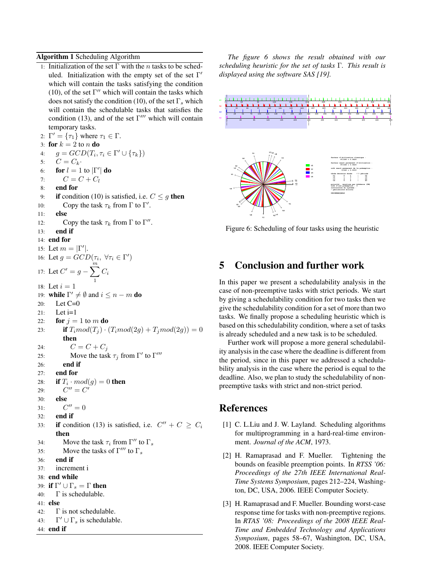Algorithm 1 Scheduling Algorithm

1: Initialization of the set  $\Gamma$  with the *n* tasks to be scheduled. Initialization with the empty set of the set  $\Gamma'$ which will contain the tasks satisfying the condition (10), of the set  $\Gamma''$  which will contain the tasks which does not satisfy the condition (10), of the set  $\Gamma_s$  which will contain the schedulable tasks that satisfies the condition (13), and of the set  $\Gamma'''$  which will contain

temporary tasks. 2:  $\Gamma' = {\tau_1}$  where  $\tau_1 \in \Gamma$ . 3: for  $k = 2$  to n do 4:  $g = GCD(T_i, \tau_i \in \Gamma' \cup {\tau_k})$ 5:  $C = C_k$ 6: **for**  $l = 1$  to  $|\Gamma'|$  **do** 7:  $C = C + C_l$ 8: end for 9: if condition (10) is satisfied, i.e.  $C \leq g$  then 10: Copy the task  $\tau_k$  from  $\Gamma$  to  $\Gamma'$ . 11: else 12: Copy the task  $\tau_k$  from  $\Gamma$  to  $\Gamma''$ . 13: end if 14: end for 15: Let  $m = |\Gamma'|$ . 16: Let  $g = GCD(\tau_i, \ \forall \tau_i \in \Gamma')$ 17: Let  $C' = g - \sum_{n=1}^{m}$ 1  $C_i$ 18: Let  $i = 1$ 19: **while**  $\Gamma' \neq \emptyset$  and  $i \leq n - m$  **do** 20: Let C=0  $21:$  Let  $i=1$ 22: for  $j = 1$  to m do 23: **if**  $T_i mod(T_j) \cdot (T_i mod(2g) + T_j mod(2g)) = 0$ then 24:  $C = C + C_j$ 25: Move the task  $\tau_j$  from Γ' to Γ''' 26: end if 27: end for 28: if  $T_i \cdot mod(g) = 0$  then  $29:$  $^{\prime\prime}$  =  $C^{\prime}$ 30: else  $31:$  $C'' = 0$ 32: end if 33: if condition (13) is satisfied, i.e.  $C'' + C \ge C_i$ then 34: Move the task  $\tau_i$  from  $\Gamma''$  to  $\Gamma_s$ 35: Move the tasks of  $\Gamma'''$  to  $\Gamma_s$ 36: end if 37: increment i 38: end while 39: if  $\Gamma' \cup \Gamma_s = \Gamma$  then 40: Γ is schedulable.

- 41: else
- 42: Γ is not schedulable.

```
43:
\Gamma' \cup \Gamma_s is schedulable.
```
44: end if

*The figure 6 shows the result obtained with our scheduling heuristic for the set of tasks* Γ*. This result is displayed using the software SAS [19].*



Figure 6: Scheduling of four tasks using the heuristic

## 5 Conclusion and further work

In this paper we present a schedulability analysis in the case of non-preemptive tasks with strict periods. We start by giving a schedulability condition for two tasks then we give the schedulability condition for a set of more than two tasks. We finally propose a scheduling heuristic which is based on this schedulability condition, where a set of tasks is already scheduled and a new task is to be scheduled.

Further work will propose a more general schedulability analysis in the case where the deadline is different from the period, since in this paper we addressed a schedulability analysis in the case where the period is equal to the deadline. Also, we plan to study the schedulability of nonpreemptive tasks with strict and non-strict period.

### References

- [1] C. L. Liu and J. W. Layland. Scheduling algorithms for multiprogramming in a hard-real-time environment. *Journal of the ACM*, 1973.
- [2] H. Ramaprasad and F. Mueller. Tightening the bounds on feasible preemption points. In *RTSS '06: Proceedings of the 27th IEEE International Real-Time Systems Symposium*, pages 212–224, Washington, DC, USA, 2006. IEEE Computer Society.
- [3] H. Ramaprasad and F. Mueller. Bounding worst-case response time for tasks with non-preemptive regions. In *RTAS '08: Proceedings of the 2008 IEEE Real-Time and Embedded Technology and Applications Symposium*, pages 58–67, Washington, DC, USA, 2008. IEEE Computer Society.